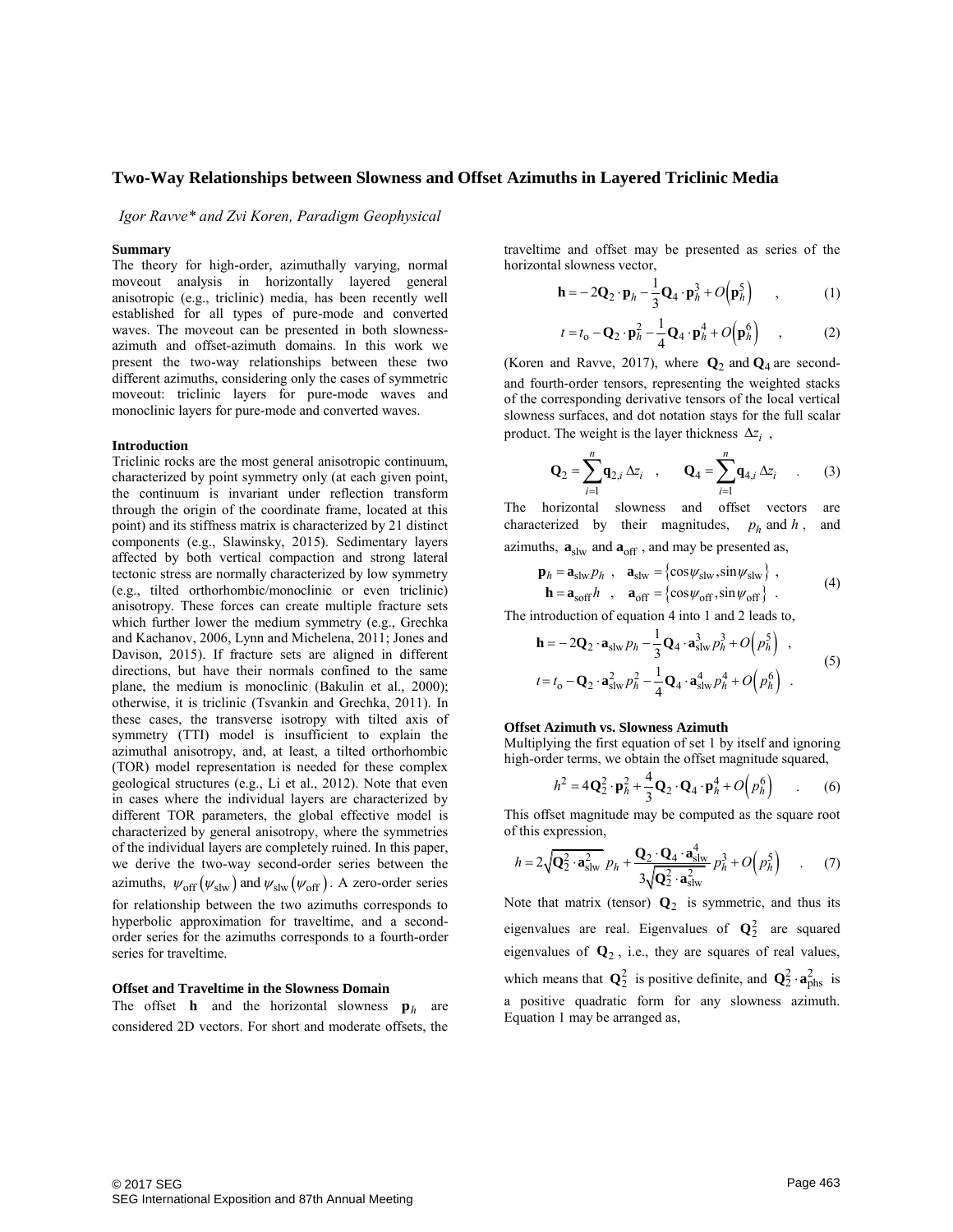*Igor Ravve\* and Zvi Koren, Paradigm Geophysical* 

### **Summary**

The theory for high-order, azimuthally varying, normal moveout analysis in horizontally layered general anisotropic (e.g., triclinic) media, has been recently well established for all types of pure-mode and converted waves. The moveout can be presented in both slownessazimuth and offset-azimuth domains. In this work we present the two-way relationships between these two different azimuths, considering only the cases of symmetric moveout: triclinic layers for pure-mode waves and monoclinic layers for pure-mode and converted waves.

#### **Introduction**

Triclinic rocks are the most general anisotropic continuum, characterized by point symmetry only (at each given point, the continuum is invariant under reflection transform through the origin of the coordinate frame, located at this point) and its stiffness matrix is characterized by 21 distinct components (e.g., Slawinsky, 2015). Sedimentary layers affected by both vertical compaction and strong lateral tectonic stress are normally characterized by low symmetry (e.g., tilted orthorhombic/monoclinic or even triclinic) anisotropy. These forces can create multiple fracture sets which further lower the medium symmetry (e.g., Grechka and Kachanov, 2006, Lynn and Michelena, 2011; Jones and Davison, 2015). If fracture sets are aligned in different directions, but have their normals confined to the same plane, the medium is monoclinic (Bakulin et al., 2000); otherwise, it is triclinic (Tsvankin and Grechka, 2011). In these cases, the transverse isotropy with tilted axis of symmetry (TTI) model is insufficient to explain the azimuthal anisotropy, and, at least, a tilted orthorhombic (TOR) model representation is needed for these complex geological structures (e.g., Li et al., 2012). Note that even in cases where the individual layers are characterized by different TOR parameters, the global effective model is characterized by general anisotropy, where the symmetries of the individual layers are completely ruined. In this paper, we derive the two-way second-order series between the azimuths,  $\psi_{off}(\psi_{slw})$  and  $\psi_{slw}(\psi_{off})$ . A zero-order series for relationship between the two azimuths corresponds to hyperbolic approximation for traveltime, and a secondorder series for the azimuths corresponds to a fourth-order series for traveltime.

#### **Offset and Traveltime in the Slowness Domain**

The offset **h** and the horizontal slowness  $\mathbf{p}_h$  are considered 2D vectors. For short and moderate offsets, the

traveltime and offset may be presented as series of the horizontal slowness vector,

al slowness vector,  
\n
$$
\mathbf{h} = -2\mathbf{Q}_2 \cdot \mathbf{p}_h - \frac{1}{3}\mathbf{Q}_4 \cdot \mathbf{p}_h^3 + O(\mathbf{p}_h^5) \quad , \quad (1)
$$

$$
t = t_0 - \mathbf{Q}_2 \cdot \mathbf{p}_h^2 - \frac{1}{4} \mathbf{Q}_4 \cdot \mathbf{p}_h^4 + O(\mathbf{p}_h^6) \quad , \tag{2}
$$

(Koren and Ravve, 2017), where  $\mathbf{Q}_2$  and  $\mathbf{Q}_4$  are secondand fourth-order tensors, representing the weighted stacks of the corresponding derivative tensors of the local vertical slowness surfaces, and dot notation stays for the full scalar

product. The weight is the layer thickness 
$$
\Delta z_i
$$
,  
\n
$$
\mathbf{Q}_2 = \sum_{i=1}^n \mathbf{q}_{2,i} \Delta z_i , \qquad \mathbf{Q}_4 = \sum_{i=1}^n \mathbf{q}_{4,i} \Delta z_i .
$$
 (3)

The horizontal slowness and offset vectors are characterized by their magnitudes,  $p_h$  and  $h$ , and

azimuths, 
$$
\mathbf{a}_{\text{slw}}
$$
 and  $\mathbf{a}_{\text{off}}$ , and may be presented as,  
\n
$$
\mathbf{p}_h = \mathbf{a}_{\text{slw}} p_h, \quad \mathbf{a}_{\text{slw}} = \{ \cos \psi_{\text{slw}}, \sin \psi_{\text{slw}} \},
$$
\n
$$
\mathbf{h} = \mathbf{a}_{\text{soft}} h, \quad \mathbf{a}_{\text{off}} = \{ \cos \psi_{\text{off}}, \sin \psi_{\text{off}} \}.
$$
\n(4)

The introduction of equation 4 into 1 and 2 leads to,

$$
\mathbf{h} = -2\mathbf{Q}_2 \cdot \mathbf{a}_{\text{slw}} p_h - \frac{1}{3} \mathbf{Q}_4 \cdot \mathbf{a}_{\text{slw}}^3 p_h^3 + O(p_h^5)
$$
\n
$$
t = t_0 - \mathbf{Q}_2 \cdot \mathbf{a}_{\text{slw}}^2 p_h^2 - \frac{1}{4} \mathbf{Q}_4 \cdot \mathbf{a}_{\text{slw}}^3 p_h^3 + O(p_h^5)
$$
\n(5)

#### **Offset Azimuth vs. Slowness Azimuth**

Multiplying the first equation of set 1 by itself and ignoring

high-order terms, we obtain the offset magnitude squared,  
\n
$$
h^2 = 4\mathbf{Q}_2^2 \cdot \mathbf{p}_h^2 + \frac{4}{3} \mathbf{Q}_2 \cdot \mathbf{Q}_4 \cdot \mathbf{p}_h^4 + O(p_h^6)
$$
\n(6)

of this expression,

This offset magnitude may be computed as the square root of this expression,  
\n
$$
h = 2\sqrt{Q_2^2 \cdot a_{\text{slw}}^2} p_h + \frac{Q_2 \cdot Q_4 \cdot a_{\text{slw}}^4}{3\sqrt{Q_2^2 \cdot a_{\text{slw}}^2}} p_h^3 + O\left(p_h^5\right) \tag{7}
$$

Note that matrix (tensor)  $\mathbf{Q}_2$  is symmetric, and thus its eigenvalues are real. Eigenvalues of  $\mathbf{Q}_2^2$  are squared eigenvalues of  $\mathbf{Q}_2$ , i.e., they are squares of real values, which means that  $\mathbf{Q}_2^2$  is positive definite, and  $\mathbf{Q}_2^2 \cdot \mathbf{a}_{\text{phs}}^2$  is a positive quadratic form for any slowness azimuth. Equation 1 may be arranged as,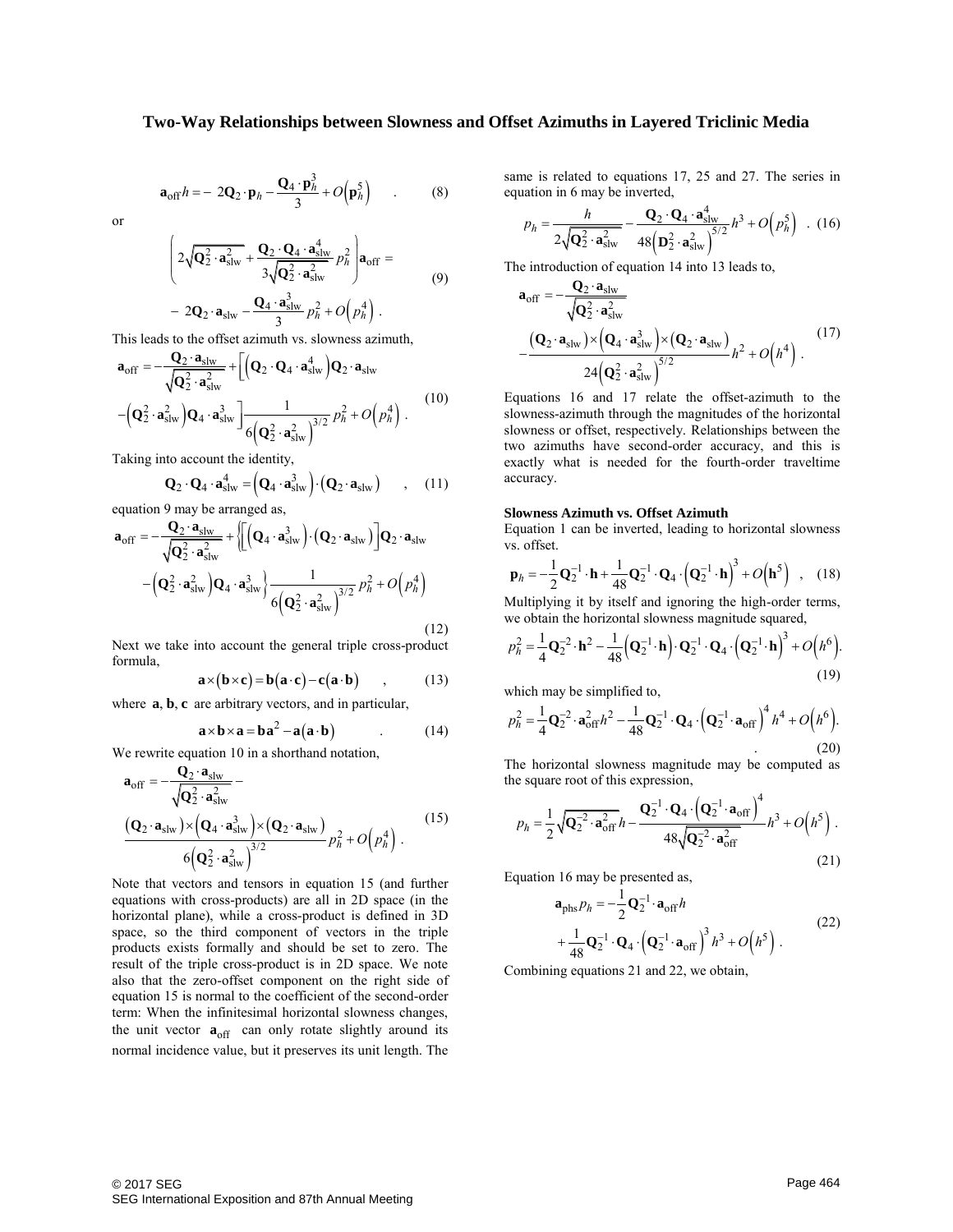$$
\mathbf{a}_{off}h = -2\mathbf{Q}_2 \cdot \mathbf{p}_h - \frac{\mathbf{Q}_4 \cdot \mathbf{p}_h^3}{3} + O(\mathbf{p}_h^5) \tag{8}
$$

or

$$
\left(2\sqrt{\mathbf{Q}_{2}^{2}\cdot\mathbf{a}_{\text{slw}}^{2}}+\frac{\mathbf{Q}_{2}\cdot\mathbf{Q}_{4}\cdot\mathbf{a}_{\text{slw}}^{4}}{3\sqrt{\mathbf{Q}_{2}^{2}\cdot\mathbf{a}_{\text{slw}}^{2}}}\ p_{h}^{2}\right)\mathbf{a}_{\text{off}} =
$$
\n
$$
-2\mathbf{Q}_{2}\cdot\mathbf{a}_{\text{slw}}-\frac{\mathbf{Q}_{4}\cdot\mathbf{a}_{\text{slw}}^{3}}{3}p_{h}^{2}+O\left(p_{h}^{4}\right).
$$
\n(9)

This leads to the offset azimuth vs. slowness azimuth,  
\n
$$
\mathbf{a}_{off} = -\frac{\mathbf{Q}_2 \cdot \mathbf{a}_{slw}}{\sqrt{\mathbf{Q}_2^2 \cdot \mathbf{a}_{slw}^2}} + \left[ \left( \mathbf{Q}_2 \cdot \mathbf{Q}_4 \cdot \mathbf{a}_{slw}^4 \right) \mathbf{Q}_2 \cdot \mathbf{a}_{slw} \right. \\ \left. - \left( \mathbf{Q}_2^2 \cdot \mathbf{a}_{slw}^2 \right) \mathbf{Q}_4 \cdot \mathbf{a}_{slw}^3 \right] \frac{1}{6 \left( \mathbf{Q}_2^2 \cdot \mathbf{a}_{slw}^2 \right)^{3/2} p_h^2 + O\left( p_h^4 \right). \tag{10}
$$

Taking into account the identity,  
\n
$$
\mathbf{Q}_2 \cdot \mathbf{Q}_4 \cdot \mathbf{a}_{\text{slw}}^4 = (\mathbf{Q}_4 \cdot \mathbf{a}_{\text{slw}}^3) \cdot (\mathbf{Q}_2 \cdot \mathbf{a}_{\text{slw}}) \quad , \quad (11)
$$

$$
\mathbf{Q}_2 \cdot \mathbf{Q}_4 \cdot \mathbf{a}_{\text{slw}}^4 = \left( \mathbf{Q}_4 \cdot \mathbf{a}_{\text{slw}}^2 \right) \cdot \left( \mathbf{Q}_2 \cdot \mathbf{a}_{\text{slw}} \right) \quad , \quad (11)
$$
  
equation 9 may be arranged as,  

$$
\mathbf{a}_{\text{off}} = -\frac{\mathbf{Q}_2 \cdot \mathbf{a}_{\text{slw}}}{\sqrt{\mathbf{Q}_2^2 \cdot \mathbf{a}_{\text{slw}}^2}} + \left\{ \left[ \left( \mathbf{Q}_4 \cdot \mathbf{a}_{\text{slw}}^3 \right) \cdot \left( \mathbf{Q}_2 \cdot \mathbf{a}_{\text{slw}} \right) \right] \mathbf{Q}_2 \cdot \mathbf{a}_{\text{slw}} \right\} - \left( \mathbf{Q}_2^2 \cdot \mathbf{a}_{\text{slw}}^2 \right) \mathbf{Q}_4 \cdot \mathbf{a}_{\text{slw}}^3 \right\} \frac{1}{6 \left( \mathbf{Q}_2^2 \cdot \mathbf{a}_{\text{slw}}^2 \right)^{3/2}} p_h^2 + O\left( p_h^4 \right)
$$

(12)

Next we take into account the general triple cross-product formula,

$$
\mathbf{a} \times (\mathbf{b} \times \mathbf{c}) = \mathbf{b}(\mathbf{a} \cdot \mathbf{c}) - \mathbf{c}(\mathbf{a} \cdot \mathbf{b}) \qquad , \qquad (13)
$$

where **a**, **b**, **c** are arbitrary vectors, and in particular,

$$
\mathbf{a} \times \mathbf{b} \times \mathbf{a} = \mathbf{b}\mathbf{a}^2 - \mathbf{a}(\mathbf{a} \cdot \mathbf{b})
$$
 (14)

We rewrite equation 10 in a shorthand notation,  
\n
$$
\mathbf{a}_{off} = -\frac{\mathbf{Q}_2 \cdot \mathbf{a}_{slw}}{\sqrt{\mathbf{Q}_2^2 \cdot \mathbf{a}_{slw}^2}} - \frac{}{\left(\mathbf{Q}_2 \cdot \mathbf{a}_{slw}\right) \times \left(\mathbf{Q}_4 \cdot \mathbf{a}_{slw}^3\right) \times \left(\mathbf{Q}_2 \cdot \mathbf{a}_{slw}\right)} \frac{\left(\mathbf{Q}_2 \cdot \mathbf{a}_{slw}\right) \times \left(\mathbf{Q}_4 \cdot \mathbf{a}_{slw}^3\right)}{6 \left(\mathbf{Q}_2^2 \cdot \mathbf{a}_{slw}^2\right)^{3/2}} p_h^2 + O\left(p_h^4\right).
$$
\n(15)

Note that vectors and tensors in equation 15 (and further equations with cross-products) are all in 2D space (in the horizontal plane), while a cross-product is defined in 3D space, so the third component of vectors in the triple products exists formally and should be set to zero. The result of the triple cross-product is in 2D space. We note also that the zero-offset component on the right side of equation 15 is normal to the coefficient of the second-order term: When the infinitesimal horizontal slowness changes, the unit vector  $\mathbf{a}_{off}$  can only rotate slightly around its normal incidence value, but it preserves its unit length. The

same is related to equations 17, 25 and 27. The series in equation in 6 may be inverted,

The series in  
ratio in 6 may be inverted,  

$$
p_h = \frac{h}{2\sqrt{Q_2^2 \cdot a_{\text{slw}}^2}} - \frac{Q_2 \cdot Q_4 \cdot a_{\text{slw}}^4}{48 \left( D_2^2 \cdot a_{\text{slw}}^2 \right)^{5/2}} h^3 + O\left(p_h^5\right) \quad . \tag{16}
$$

The introduction of equation 14 into 13 leads to,  
\n
$$
\mathbf{a}_{off} = -\frac{\mathbf{Q}_2 \cdot \mathbf{a}_{slw}}{\sqrt{\mathbf{Q}_2^2 \cdot \mathbf{a}_{slw}^2}} - \frac{(\mathbf{Q}_2 \cdot \mathbf{a}_{slw}) \times (\mathbf{Q}_4 \cdot \mathbf{a}_{slw}^3) \times (\mathbf{Q}_2 \cdot \mathbf{a}_{slw})}{24(\mathbf{Q}_2^2 \cdot \mathbf{a}_{slw}^2)^{5/2}} h^2 + O(h^4).
$$
\n(17)

Equations 16 and 17 relate the offset-azimuth to the slowness-azimuth through the magnitudes of the horizontal slowness or offset, respectively. Relationships between the two azimuths have second-order accuracy, and this is exactly what is needed for the fourth-order traveltime accuracy.

## **Slowness Azimuth vs. Offset Azimuth**

vs. offset.

Equation 1 can be inverted, leading to horizontal slowness  
vs. offset.  

$$
\mathbf{p}_h = -\frac{1}{2}\mathbf{Q}_2^{-1} \cdot \mathbf{h} + \frac{1}{48}\mathbf{Q}_2^{-1} \cdot \mathbf{Q}_4 \cdot \left(\mathbf{Q}_2^{-1} \cdot \mathbf{h}\right)^3 + O\left(\mathbf{h}^5\right) , \quad (18)
$$

Multiplying it by itself and ignoring the high-order terms,

Multiplying it by itself and ignoring the high-order terms,  
we obtain the horizontal slowness magnitude squared,  

$$
\rho_h^2 = \frac{1}{4} \mathbf{Q}_2^{-2} \cdot \mathbf{h}^2 - \frac{1}{48} (\mathbf{Q}_2^{-1} \cdot \mathbf{h}) \cdot \mathbf{Q}_2^{-1} \cdot \mathbf{Q}_4 \cdot (\mathbf{Q}_2^{-1} \cdot \mathbf{h})^3 + O(h^6).
$$
(19)

which may be simplified to,  
\n
$$
p_h^2 = \frac{1}{4} \mathbf{Q}_2^{-2} \cdot \mathbf{a}_{off}^2 h^2 - \frac{1}{48} \mathbf{Q}_2^{-1} \cdot \mathbf{Q}_4 \cdot (\mathbf{Q}_2^{-1} \cdot \mathbf{a}_{off})^4 h^4 + O(h^6).
$$
\n(20)

The horizontal slowness magnitude may be computed as the square root of this expression,

the horizontal slowness magnitude may be computed as  
\ne square root of this expression,  
\n
$$
p_h = \frac{1}{2} \sqrt{Q_2^{-2} \cdot a_{off}^2} h - \frac{Q_2^{-1} \cdot Q_4 \cdot (Q_2^{-1} \cdot a_{off})^4}{48 \sqrt{Q_2^{-2} \cdot a_{off}^2}} h^3 + O(h^5)
$$
\n(21)

Equation 16 may be presented as,

$$
\mathbf{a}_{\text{phs}} p_h = -\frac{1}{2} \mathbf{Q}_2^{-1} \cdot \mathbf{a}_{\text{off}} h
$$
  
 
$$
+ \frac{1}{48} \mathbf{Q}_2^{-1} \cdot \mathbf{Q}_4 \cdot \left( \mathbf{Q}_2^{-1} \cdot \mathbf{a}_{\text{off}} \right)^3 h^3 + O\left( h^5 \right) .
$$
 (22)

Combining equations 21 and 22, we obtain,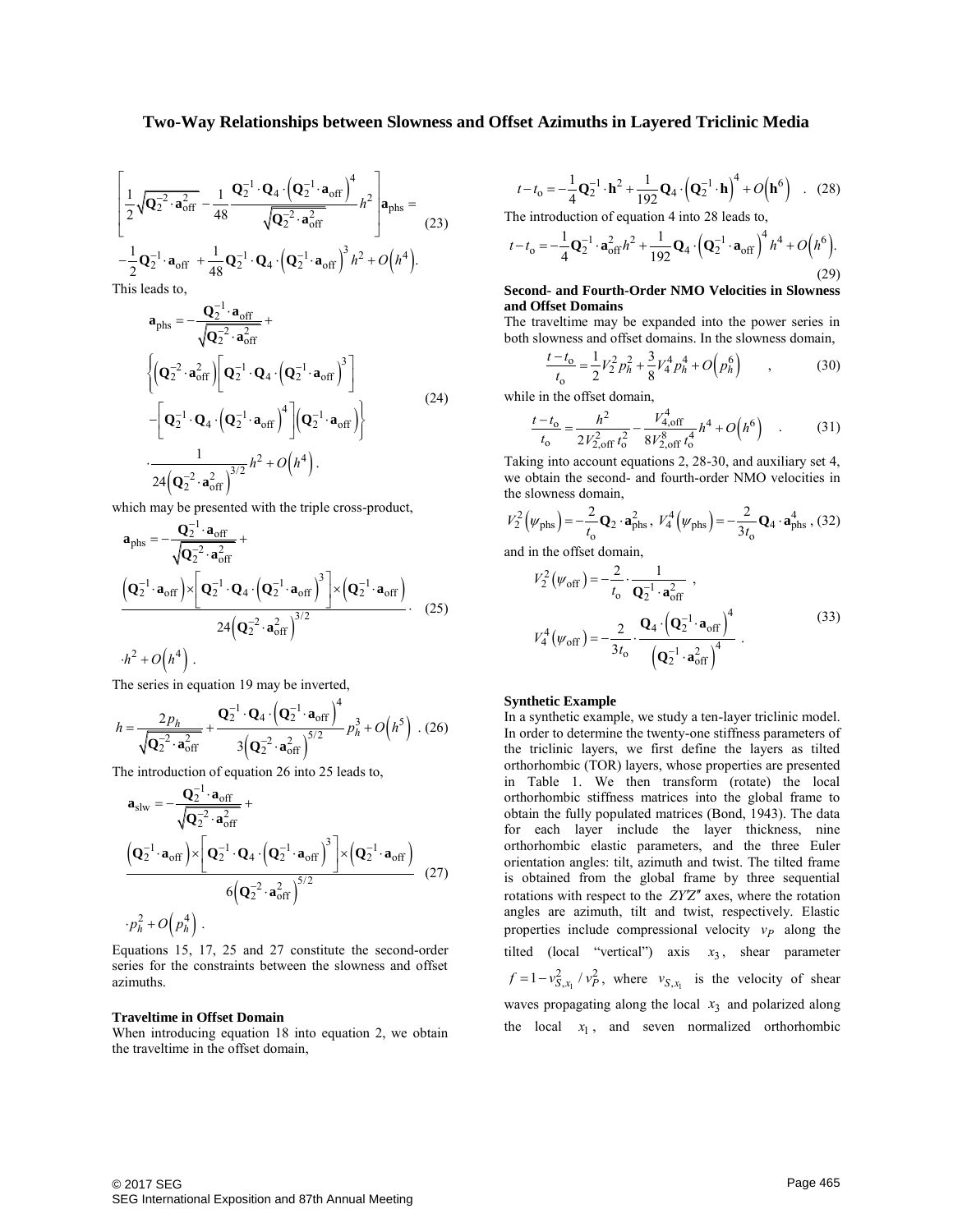$$
\left[\frac{1}{2}\sqrt{\mathbf{Q}_{2}^{-2}\cdot\mathbf{a}_{off}^{2}}-\frac{1}{48}\frac{\mathbf{Q}_{2}^{-1}\cdot\mathbf{Q}_{4}\cdot(\mathbf{Q}_{2}^{-1}\cdot\mathbf{a}_{off})^{4}}{\sqrt{\mathbf{Q}_{2}^{-2}\cdot\mathbf{a}_{off}^{2}}}\hbar^{2}\right]\mathbf{a}_{phs}=\frac{1}{2}\mathbf{Q}_{2}^{-1}\cdot\mathbf{a}_{off}+\frac{1}{48}\mathbf{Q}_{2}^{-1}\cdot\mathbf{Q}_{4}\cdot(\mathbf{Q}_{2}^{-1}\cdot\mathbf{a}_{off})^{3}\hbar^{2}+O\left(\hbar^{4}\right).
$$
\nThis leads to

This leads to,

$$
\mathbf{a}_{\text{phs}} = -\frac{\mathbf{Q}_2^{-1} \cdot \mathbf{a}_{\text{off}}}{\sqrt{\mathbf{Q}_2^{-2} \cdot \mathbf{a}_{\text{off}}^2}} + \frac{\left\{ \left( \mathbf{Q}_2^{-2} \cdot \mathbf{a}_{\text{off}}^2 \right) \left[ \mathbf{Q}_2^{-1} \cdot \mathbf{Q}_4 \cdot \left( \mathbf{Q}_2^{-1} \cdot \mathbf{a}_{\text{off}} \right)^3 \right] \right\}}{\left[ \mathbf{Q}_2^{-1} \cdot \mathbf{Q}_4 \cdot \left( \mathbf{Q}_2^{-1} \cdot \mathbf{a}_{\text{off}} \right)^4 \right] \left( \mathbf{Q}_2^{-1} \cdot \mathbf{a}_{\text{off}} \right) \right\}} \tag{24}
$$
\n
$$
\cdot \frac{1}{24 \left( \mathbf{Q}_2^{-2} \cdot \mathbf{a}_{\text{off}}^2 \right)^{3/2}} h^2 + O\left( h^4 \right).
$$

which may be presented with the triple cross-product,  
\n
$$
\mathbf{a}_{\text{phs}} = -\frac{\mathbf{Q}_2^{-1} \cdot \mathbf{a}_{\text{off}}}{\sqrt{\mathbf{Q}_2^{-2} \cdot \mathbf{a}_{\text{off}}^2}} + \frac{(\mathbf{Q}_2^{-1} \cdot \mathbf{a}_{\text{off}}) \times [\mathbf{Q}_2^{-1} \cdot \mathbf{Q}_4 \cdot (\mathbf{Q}_2^{-1} \cdot \mathbf{a}_{\text{off}})^3] \times (\mathbf{Q}_2^{-1} \cdot \mathbf{a}_{\text{off}})}{24(\mathbf{Q}_2^{-2} \cdot \mathbf{a}_{\text{off}}^2)^{3/2}}.
$$
\n
$$
h^2 + O(h^4).
$$
\n(25)

The series in equation 19 may be inverted,

$$
h = \frac{2p_h}{\sqrt{Q_2^2 \cdot a_{off}^2}} + \frac{Q_2^{-1} \cdot Q_4 \cdot (Q_2^{-1} \cdot a_{off})^4}{3(Q_2^{-2} \cdot a_{off}^2)} p_h^3 + O(h^5)
$$
 (26)

The introduction of equation 26 into 25 leads to,  
\n
$$
\mathbf{a}_{\text{slw}} = -\frac{\mathbf{Q}_2^{-1} \cdot \mathbf{a}_{\text{off}}}{\sqrt{\mathbf{Q}_2^{-2} \cdot \mathbf{a}_{\text{off}}^2}} + \frac{(\mathbf{Q}_2^{-1} \cdot \mathbf{a}_{\text{off}}) \times [\mathbf{Q}_2^{-1} \cdot \mathbf{Q}_4 \cdot (\mathbf{Q}_2^{-1} \cdot \mathbf{a}_{\text{off}})^3] \times (\mathbf{Q}_2^{-1} \cdot \mathbf{a}_{\text{off}})}{6(\mathbf{Q}_2^{-2} \cdot \mathbf{a}_{\text{off}}^2)^{5/2}} \quad (27)
$$
\n
$$
\cdot p_h^2 + O(p_h^4) \ .
$$

Equations 15, 17, 25 and 27 constitute the second-order series for the constraints between the slowness and offset azimuths.

#### **Traveltime in Offset Domain**

When introducing equation 18 into equation 2, we obtain the traveltime in the offset domain,

$$
t - t_0 = -\frac{1}{4} \mathbf{Q}_2^{-1} \cdot \mathbf{h}^2 + \frac{1}{192} \mathbf{Q}_4 \cdot \left( \mathbf{Q}_2^{-1} \cdot \mathbf{h} \right)^4 + O\left( \mathbf{h}^6 \right) \quad . \tag{28}
$$

$$
t - t_0 = -\frac{1}{4} \mathbf{Q}_2^{-1} \cdot \mathbf{h}^2 + \frac{1}{192} \mathbf{Q}_4 \cdot (\mathbf{Q}_2^{-1} \cdot \mathbf{h}) + O(\mathbf{h}^6) \quad . \quad (28)
$$
  
The introduction of equation 4 into 28 leads to,  

$$
t - t_0 = -\frac{1}{4} \mathbf{Q}_2^{-1} \cdot \mathbf{a}_{off}^2 h^2 + \frac{1}{192} \mathbf{Q}_4 \cdot (\mathbf{Q}_2^{-1} \cdot \mathbf{a}_{off})^4 h^4 + O(h^6).
$$
(29)

### **Second- and Fourth-Order NMO Velocities in Slowness and Offset Domains**

The traveltime may be expanded into the power series in

both slowness and offset domains. In the slowness domain,  
\n
$$
\frac{t - t_0}{t_0} = \frac{1}{2} V_2^2 p_h^2 + \frac{3}{8} V_4^4 p_h^4 + O(p_h^6)
$$
\n(30)

while in the offset domain,

e in the offset domain,  
\n
$$
\frac{t - t_0}{t_0} = \frac{h^2}{2V_{2, \text{off}}^2 t_0^2} - \frac{V_{4, \text{off}}^4}{8V_{2, \text{off}}^8 t_0^4} h^4 + O(h^6) \quad . \tag{31}
$$

Taking into account equations 2, 28-30, and auxiliary set 4, the slowness domain,

we obtain the second- and fourth-order NMO velocities in  
the slowness domain,  

$$
V_2^2(\psi_{\text{phs}}) = -\frac{2}{t_0} \mathbf{Q}_2 \cdot \mathbf{a}_{\text{phs}}^2, V_4^4(\psi_{\text{phs}}) = -\frac{2}{3t_0} \mathbf{Q}_4 \cdot \mathbf{a}_{\text{phs}}^4, (32)
$$

and in the offset domain,

$$
V_2^2(\psi_{off}) = -\frac{2}{t_0} \cdot \frac{1}{\mathbf{Q}_2^{-1} \cdot \mathbf{a}_{off}^2},
$$
  

$$
V_4^4(\psi_{off}) = -\frac{2}{3t_0} \cdot \frac{\mathbf{Q}_4 \cdot (\mathbf{Q}_2^{-1} \cdot \mathbf{a}_{off})^4}{(\mathbf{Q}_2^{-1} \cdot \mathbf{a}_{off})^4}.
$$
 (33)

### **Synthetic Example**

In a synthetic example, we study a ten-layer triclinic model. In order to determine the twenty-one stiffness parameters of the triclinic layers, we first define the layers as tilted orthorhombic (TOR) layers, whose properties are presented in Table 1. We then transform (rotate) the local orthorhombic stiffness matrices into the global frame to obtain the fully populated matrices (Bond, 1943). The data for each layer include the layer thickness, nine orthorhombic elastic parameters, and the three Euler orientation angles: tilt, azimuth and twist. The tilted frame is obtained from the global frame by three sequential rotations with respect to the ZY'Z" axes, where the rotation angles are azimuth, tilt and twist, respectively. Elastic properties include compressional velocity  $v_p$  along the tilted (local "vertical") axis  $x_3$ , shear parameter  $f = 1 - v_{S,x_1}^2 / v_P^2$ , where  $v_{S,x_1}$  is the velocity of shear waves propagating along the local  $x_3$  and polarized along the local  $x_1$ , and seven normalized orthorhombic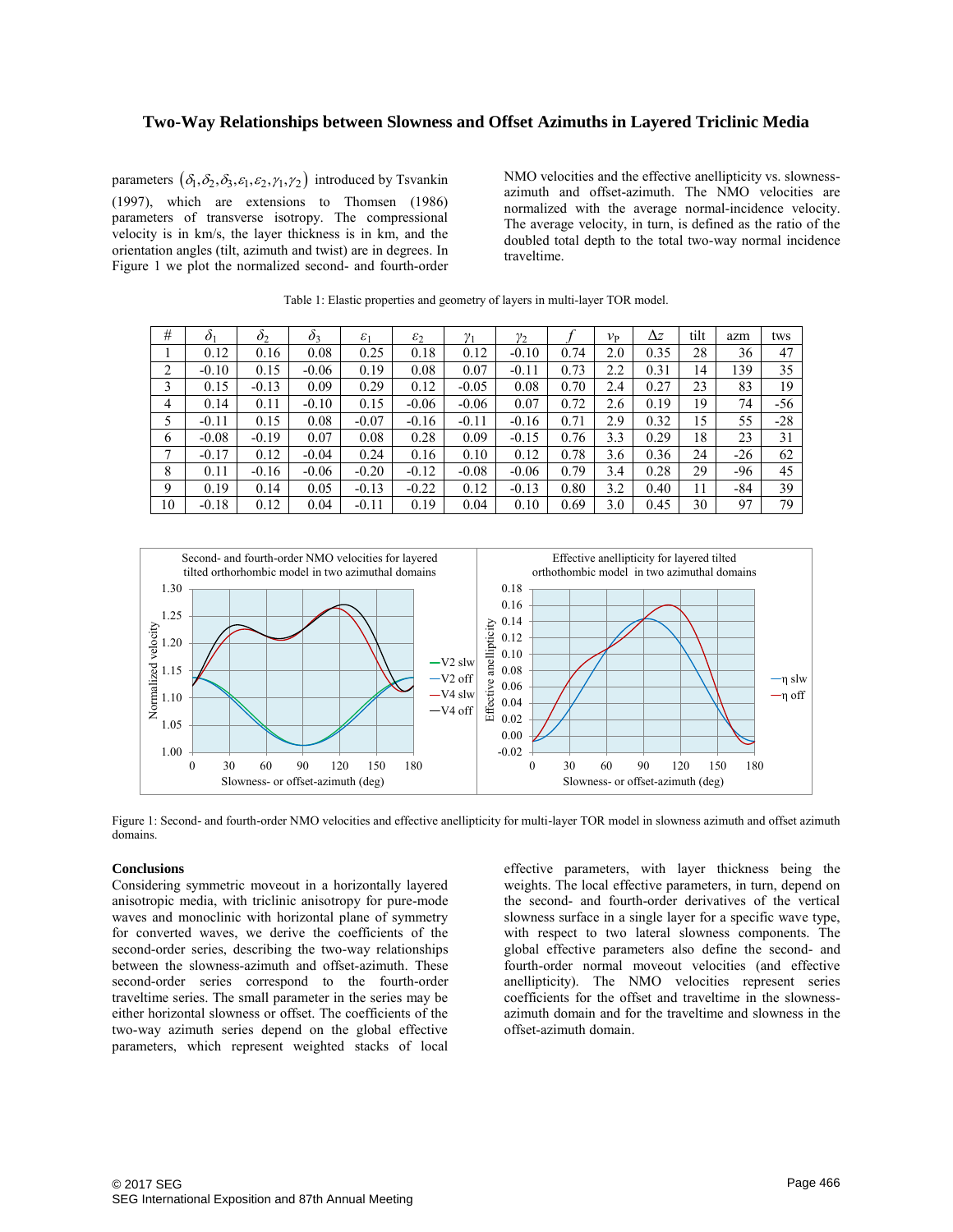parameters  $(\delta_1, \delta_2, \delta_3, \varepsilon_1, \varepsilon_2, \gamma_1, \gamma_2)$  introduced by Tsvankin (1997), which are extensions to Thomsen (1986) parameters of transverse isotropy. The compressional velocity is in km/s, the layer thickness is in km, and the orientation angles (tilt, azimuth and twist) are in degrees. In Figure 1 we plot the normalized second- and fourth-order

NMO velocities and the effective anellipticity vs. slownessazimuth and offset-azimuth. The NMO velocities are normalized with the average normal-incidence velocity. The average velocity, in turn, is defined as the ratio of the doubled total depth to the total two-way normal incidence traveltime.

| #  | $\delta_1$ | $\mathcal{O}_2$ | $\delta_3$ | $\varepsilon_1$ | $\varepsilon_2$ | $\gamma_1$ | $\gamma_2$ |      | $v_{\rm P}$ | Δz   | tilt | azm   | tws   |
|----|------------|-----------------|------------|-----------------|-----------------|------------|------------|------|-------------|------|------|-------|-------|
|    | 0.12       | 0.16            | 0.08       | 0.25            | 0.18            | 0.12       | $-0.10$    | 0.74 | 2.0         | 0.35 | 28   | 36    | 47    |
| 2  | $-0.10$    | 0.15            | $-0.06$    | 0.19            | 0.08            | 0.07       | $-0.11$    | 0.73 | 2.2         | 0.31 | 14   | 39    | 35    |
| 3  | 0.15       | $-0.13$         | 0.09       | 0.29            | 0.12            | $-0.05$    | 0.08       | 0.70 | 2.4         | 0.27 | 23   | 83    | 19    |
| 4  | 0.14       | 0.11            | $-0.10$    | 0.15            | $-0.06$         | $-0.06$    | 0.07       | 0.72 | 2.6         | 0.19 | 19   | 74    | -56   |
| 5  | $-0.11$    | 0.15            | 0.08       | $-0.07$         | $-0.16$         | $-0.11$    | $-0.16$    | 0.71 | 2.9         | 0.32 | 15   | 55    | $-28$ |
| 6  | $-0.08$    | $-0.19$         | 0.07       | 0.08            | 0.28            | 0.09       | $-0.15$    | 0.76 | 3.3         | 0.29 | 18   | 23    | 31    |
| 7  | $-0.17$    | 0.12            | $-0.04$    | 0.24            | 0.16            | 0.10       | 0.12       | 0.78 | 3.6         | 0.36 | 24   | $-26$ | 62    |
| 8  | 0.11       | $-0.16$         | $-0.06$    | $-0.20$         | $-0.12$         | $-0.08$    | $-0.06$    | 0.79 | 3.4         | 0.28 | 29   | -96   | 45    |
| 9  | 0.19       | 0.14            | 0.05       | $-0.13$         | $-0.22$         | 0.12       | $-0.13$    | 0.80 | 3.2         | 0.40 | 11   | -84   | 39    |
| 10 | $-0.18$    | 0.12            | 0.04       | $-0.11$         | 0.19            | 0.04       | 0.10       | 0.69 | 3.0         | 0.45 | 30   | 97    | 79    |

Table 1: Elastic properties and geometry of layers in multi-layer TOR model.



Figure 1: Second- and fourth-order NMO velocities and effective anellipticity for multi-layer TOR model in slowness azimuth and offset azimuth domains.

### **Conclusions**

Considering symmetric moveout in a horizontally layered anisotropic media, with triclinic anisotropy for pure-mode waves and monoclinic with horizontal plane of symmetry for converted waves, we derive the coefficients of the second-order series, describing the two-way relationships between the slowness-azimuth and offset-azimuth. These second-order series correspond to the fourth-order traveltime series. The small parameter in the series may be either horizontal slowness or offset. The coefficients of the two-way azimuth series depend on the global effective parameters, which represent weighted stacks of local effective parameters, with layer thickness being the weights. The local effective parameters, in turn, depend on the second- and fourth-order derivatives of the vertical slowness surface in a single layer for a specific wave type, with respect to two lateral slowness components. The global effective parameters also define the second- and fourth-order normal moveout velocities (and effective anellipticity). The NMO velocities represent series coefficients for the offset and traveltime in the slownessazimuth domain and for the traveltime and slowness in the offset-azimuth domain.